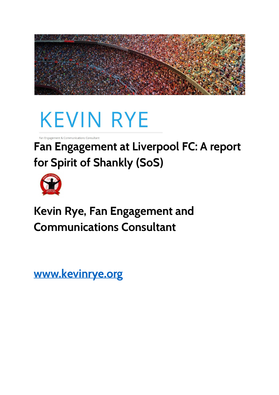

# **KEVIN RYE**

**Fan Engagement at Liverpool FC: A report for Spirit of Shankly (SoS)**



**Kevin Rye, Fan Engagement and Communications Consultant**

**[www.kevinrye.org](http://www.kevirye.org/)**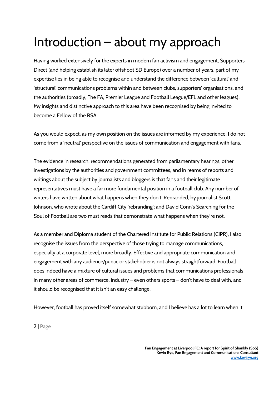# Introduction – about my approach

Having worked extensively for the experts in modern fan activism and engagement, Supporters Direct (and helping establish its later offshoot SD Europe) over a number of years, part of my expertise lies in being able to recognise and understand the difference between 'cultural' and 'structural' communications problems within and between clubs, supporters' organisations, and the authorities (broadly, The FA, Premier League and Football League/EFL and other leagues). My insights and distinctive approach to this area have been recognised by being invited to become a Fellow of the RSA.

As you would expect, as my own position on the issues are informed by my experience, I do not come from a 'neutral' perspective on the issues of communication and engagement with fans.

The evidence in research, recommendations generated from parliamentary hearings, other investigations by the authorities and government committees, and in reams of reports and writings about the subject by journalists and bloggers is that fans and their legitimate representatives must have a far more fundamental position in a football club. Any number of writers have written about what happens when they don't. Rebranded, by journalist Scott Johnson, who wrote about the Cardiff City 'rebranding'; and David Conn's Searching for the Soul of Football are two must reads that demonstrate what happens when they're not.

As a member and Diploma student of the Chartered Institute for Public Relations (CIPR), I also recognise the issues from the perspective of those trying to manage communications, especially at a corporate level, more broadly. Effective and appropriate communication and engagement with any audience/public or stakeholder is not always straightforward. Football does indeed have a mixture of cultural issues and problems that communications professionals in many other areas of commerce, industry – even others sports – don't have to deal with, and it should be recognised that it isn't an easy challenge.

However, football has proved itself somewhat stubborn, and I believe has a lot to learn when it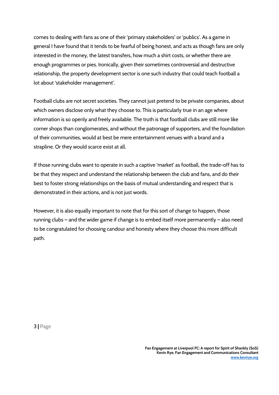comes to dealing with fans as one of their 'primary stakeholders' or 'publics'. As a game in general I have found that it tends to be fearful of being honest, and acts as though fans are only interested in the money, the latest transfers, how much a shirt costs, or whether there are enough programmes or pies. Ironically, given their sometimes controversial and destructive relationship, the property development sector is one such industry that could teach football a lot about 'stakeholder management'.

Football clubs are not secret societies. They cannot just pretend to be private companies, about which owners disclose only what they choose to. This is particularly true in an age where information is so openly and freely available. The truth is that football clubs are still more like corner shops than conglomerates, and without the patronage of supporters, and the foundation of their communities, would at best be mere entertainment venues with a brand and a strapline. Or they would scarce exist at all.

If those running clubs want to operate in such a captive 'market' as football, the trade-off has to be that they respect and understand the relationship between the club and fans, and do their best to foster strong relationships on the basis of mutual understanding and respect that is demonstrated in their actions, and is not just words.

However, it is also equally important to note that for this sort of change to happen, those running clubs – and the wider game if change is to embed itself more permanently – also need to be congratulated for choosing candour and honesty where they choose this more difficult path.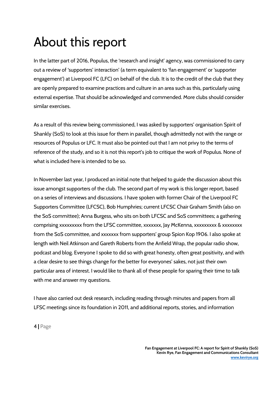# About this report

In the latter part of 2016, Populus, the 'research and insight' agency, was commissioned to carry out a review of 'supporters' interaction' (a term equivalent to 'fan engagement' or 'supporter engagement') at Liverpool FC (LFC) on behalf of the club. It is to the credit of the club that they are openly prepared to examine practices and culture in an area such as this, particularly using external expertise. That should be acknowledged and commended. More clubs should consider similar exercises.

As a result of this review being commissioned, I was asked by supporters' organisation Spirit of Shankly (SoS) to look at this issue for them in parallel, though admittedly not with the range or resources of Populus or LFC. It must also be pointed out that I am not privy to the terms of reference of the study, and so it is not this report's job to critique the work of Populus. None of what is included here is intended to be so.

In November last year, I produced an initial note that helped to guide the discussion about this issue amongst supporters of the club. The second part of my work is this longer report, based on a series of interviews and discussions. I have spoken with former Chair of the Liverpool FC Supporters Committee (LFCSC), Bob Humphries; current LFCSC Chair Graham Smith (also on the SoS committee); Anna Burgess, who sits on both LFCSC and SoS committees; a gathering comprising xxxxxxxxx from the LFSC committee, xxxxxxx, Jay McKenna, xxxxxxxxx & xxxxxxxx from the SoS committee, and xxxxxxx from supporters' group Spion Kop 1906. I also spoke at length with Neil Atkinson and Gareth Roberts from the Anfield Wrap, the popular radio show, podcast and blog. Everyone I spoke to did so with great honesty, often great positivity, and with a clear desire to see things change for the better for everyones' sakes, not just their own particular area of interest. I would like to thank all of these people for sparing their time to talk with me and answer my questions.

I have also carried out desk research, including reading through minutes and papers from all LFSC meetings since its foundation in 2011, and additional reports, stories, and information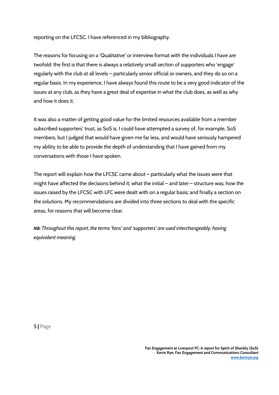reporting on the LFCSC. I have referenced in my bibliography.

The reasons for focusing on a 'Qualitative' or interview format with the individuals I have are twofold: the first is that there is always a relatively small section of supporters who 'engage' regularly with the club at all levels – particularly senior official or owners, and they do so on a regular basis. In my experience, I have always found this route to be a very good indicator of the issues at any club, as they have a great deal of expertise in what the club does, as well as why and how it does it.

It was also a matter of getting good value for the limited resources available from a member subscribed supporters' trust, as SoS is. I could have attempted a survey of, for example, SoS members, but I judged that would have given me far less, and would have seriously hampered my ability to be able to provide the depth of understanding that I have gained from my conversations with those I have spoken.

The report will explain how the LFCSC came about – particularly what the issues were that might have affected the decisions behind it; what the initial – and later – structure was; how the issues raised by the LFCSC with LFC were dealt with on a regular basis; and finally a section on the solutions. My recommendations are divided into three sections to deal with the specific areas, for reasons that will become clear.

 *NB: Throughout this report, the terms 'fans' and 'supporters' are used interchangeably, having equivalent meaning.*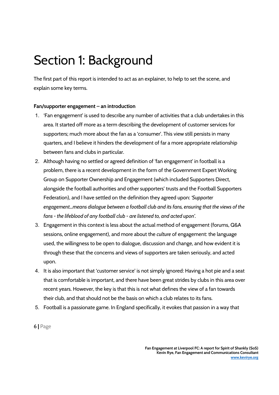### Section 1: Background

The first part of this report is intended to act as an explainer, to help to set the scene, and explain some key terms.

#### **Fan/supporter engagement – an introduction**

- 1. 'Fan engagement' is used to describe any number of activities that a club undertakes in this area. It started off more as a term describing the development of customer services for supporters; much more about the fan as a 'consumer'. This view still persists in many quarters, and I believe it hinders the development of far a more appropriate relationship between fans and clubs in particular.
- 2. Although having no settled or agreed definition of 'fan engagement' in football is a problem, there is a recent development in the form of the Government Expert Working Group on Supporter Ownership and Engagement (which included Supporters Direct, alongside the football authorities and other supporters' trusts and the Football Supporters Federation), and I have settled on the definition they agreed upon: *'Supporter engagement...means dialogue between a football club and its fans, ensuring that the views of the fans - the lifeblood of any football club - are listened to, and acted upon'.*
- 3. Engagement in this context is less about the actual method of engagement (forums, Q&A sessions, online engagement), and more about the *culture* of engagement: the language used, the willingness to be open to dialogue, discussion and change, and how evident it is through these that the concerns and views of supporters are taken seriously, and acted upon.
- 4. It is also important that 'customer service' is not simply ignored: Having a hot pie and a seat that is comfortable is important, and there have been great strides by clubs in this area over recent years. However, the key is that this is not what defines the view of a fan towards their club, and that should not be the basis on which a club relates to its fans.
- 5. Football is a passionate game. In England specifically, it evokes that passion in a way that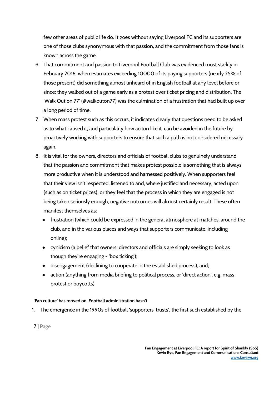few other areas of public life do. It goes without saying Liverpool FC and its supporters are one of those clubs synonymous with that passion, and the commitment from those fans is known across the game.

- 6. That commitment and passion to Liverpool Football Club was evidenced most starkly in February 2016, when estimates exceeding 10000 of its paying supporters (nearly 25% of those present) did something almost unheard of in English football at any level before or since: they walked out of a game early as a protest over ticket pricing and distribution. The 'Walk Out on 77' (#walkouton77) was the culmination of a frustration that had built up over a long period of time.
- 7. When mass protest such as this occurs, it indicates clearly that questions need to be asked as to what caused it, and particularly how aciton like it can be avoided in the future by proactively working with supporters to ensure that such a path is not considered necessary again.
- 8. It is vital for the owners, directors and officials of football clubs to genuinely understand that the passion and commitment that makes protest possible is something that is always more productive when it is understood and harnessed positively. When supporters feel that their view isn't respected, listened to and, where justified and necessary, acted upon (such as on ticket prices), or they feel that the process in which they are engaged is not being taken seriously enough, negative outcomes will almost certainly result. These often manifest themselves as:
	- frustration (which could be expressed in the general atmosphere at matches, around the club, and in the various places and ways that supporters communicate, including online);
	- cynicism (a belief that owners, directors and officials are simply seeking to look as though they're engaging - 'box ticking');
	- disengagement (declining to cooperate in the established process), and;
	- action (anything from media briefing to political process, or 'direct action', e.g. mass protest or boycotts)

#### **'Fan culture' has moved on. Football administration hasn't**

1. The emergence in the 1990s of football 'supporters' trusts', the first such established by the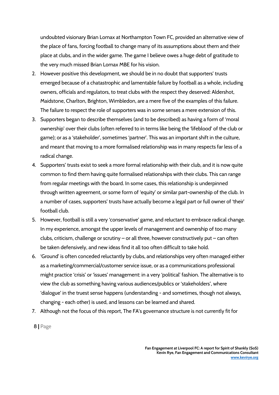undoubted visionary Brian Lomax at Northampton Town FC, provided an alternative view of the place of fans, forcing football to change many of its assumptions about them and their place at clubs, and in the wider game. The game I believe owes a huge debt of gratitude to the very much missed Brian Lomax MBE for his vision.

- 2. However positive this development, we should be in no doubt that supporters' trusts emerged because of a chatastrophic and lamentable failure by football as a whole, including owners, officials and regulators, to treat clubs with the respect they deserved: Aldershot, Maidstone, Charlton, Brighton, Wimbledon, are a mere five of the examples of this failure. The failure to respect the role of supporters was in some senses a mere extension of this.
- 3. Supporters began to describe themselves (and to be described) as having a form of 'moral ownership' over their clubs (often referred to in terms like being the 'lifeblood' of the club or game); or as a 'stakeholder', sometimes 'partner'. This was an important shift in the culture, and meant that moving to a more formalised relationship was in many respects far less of a radical change.
- 4. Supporters' trusts exist to seek a more formal relationship with their club, and it is now quite common to find them having quite formalised relationships with their clubs. This can range from regular meetings with the board. In some cases, this relationship is underpinned through written agreement, or some form of 'equity' or similar part-ownership of the club. In a number of cases, supporters' trusts have actually become a legal part or full owner of 'their' football club.
- 5. However, football is still a very 'conservative' game, and reluctant to embrace radical change. In my experience, amongst the upper levels of management and ownership of too many clubs, criticism, challenge or scrutiny – or all three, however constructively put – can often be taken defensively, and new ideas find it all too often difficult to take hold.
- 6. 'Ground' is often conceded reluctantly by clubs, and relationships very often managed either as a marketing/commercial/customer service issue, or as a communications professional might practice 'crisis' or 'issues' management: in a very 'political' fashion. The alternative is to view the club as something having various audiences/publics or 'stakeholders', where 'dialogue' in the truest sense happens (understanding - and sometimes, though not always, changing - each other) is used, and lessons can be learned and shared.
- 7. Although not the focus of this report, The FA's governance structure is not currently fit for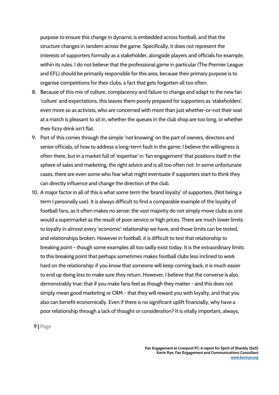purpose to ensure this change in dynamic is embedded across football, and that the structure changes in tandem across the game. Specifically, it does not represent the interests of supporters formally as a stakeholder, alongside players and officials for example, within its rules. I do not believe that the professional game in particular (The Premier League and EFL) should be primarily responsible for this area, because their primary purpose is to organise competitions for their clubs, a fact that gets forgotten all too often.

- 8. Because of this mix of culture, complacency and failure to change and adapt to the new fan 'culture' and expectations, this leaves them poorly prepared for supporters as 'stakeholders', even more so as activists, who are concerned with more than just whether-or-not their seat at a match is pleasant to sit in, whether the queues in the club shop are too long, or whether their fizzy drink isn't flat.
- 9. Part of this comes through the simple 'not knowing' on the part of owners, directors and senior officials, of how to address a long-term fault in the game: I believe the willingness is often there, but in a market full of 'expertise' in 'fan engagement' that positions itself in the sphere of sales and marketing, the right advice and is all too often not. In some unfortunate cases, there are even some who fear what might eventuate if supporters start to think they can directly influence and change the direction of the club.
- 10. A major factor in all of this is what some term the 'brand loyalty' of supporters. (Not being a term I personally use). It is always difficult to find a comparable example of the loyalty of football fans, as it often makes no sense: the vast majority do not simply move clubs as one would a supermarket as the result of poor service or high prices. There are much lower limits to loyalty in almost every 'economic' relationship we have, and those limits can be tested, and relationships broken. However in football, it is difficult to test that relationship to breaking point - though some examples all too sadly exist today. It is the extraordinary limits to this breaking point that perhaps sometimes makes football clubs less inclined to work hard on the relationship: if you know that someone will keep coming back, it is much easier to end up doing less to make sure they return. However, I believe that the converse is also demonstrably true: that if you make fans feel as though they matter - and this does not simply mean good marketing or CRM - that they will reward you with loyalty, and that you also can benefit economically. Even if there is no significant uplift financially, why have a poor relationship through a lack of thought or consideration? It is vitally important, always,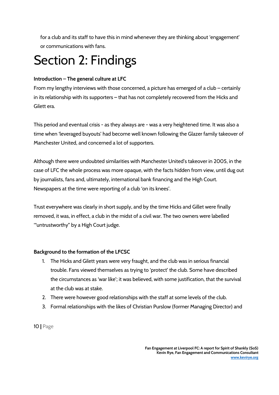for a club and its staff to have this in mind whenever they are thinking about 'engagement' or communications with fans.

### Section 2: Findings

#### **Introduction – The general culture at LFC**

From my lengthy interviews with those concerned, a picture has emerged of a club – certainly in its relationship with its supporters – that has not completely recovered from the Hicks and Gilett era.

This period and eventual crisis - as they always are - was a very heightened time. It was also a time when 'leveraged buyouts' had become well known following the Glazer family takeover of Manchester United, and concerned a lot of supporters.

Although there were undoubted similarities with Manchester United's takeover in 2005, in the case of LFC the whole process was more opaque, with the facts hidden from view, until dug out by journalists, fans and, ultimately, international bank financing and the High Court. Newspapers at the time were reporting of a club 'on its knees'.

Trust everywhere was clearly in short supply, and by the time Hicks and Gillet were finally removed, it was, in effect, a club in the midst of a civil war. The two owners were labelled '"untrustworthy" by a High Court judge.

#### **Background to the formation of the LFCSC**

- 1. The Hicks and Gilett years were very fraught, and the club was in serious financial trouble. Fans viewed themselves as trying to 'protect' the club. Some have described the circumstances as 'war like'; it was believed, with some justification, that the survival at the club was at stake.
- 2. There were however good relationships with the staff at some levels of the club.
- 3. Formal relationships with the likes of Christian Purslow (former Managing Director) and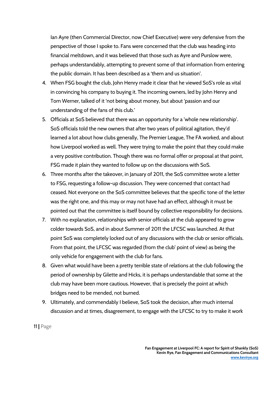Ian Ayre (then Commercial Director, now Chief Executive) were very defensive from the perspective of those I spoke to. Fans were concerned that the club was heading into financial meltdown, and it was believed that those such as Ayre and Purslow were, perhaps understandably, attempting to prevent some of that information from entering the public domain. It has been described as a 'them and us situation'.

- 4. When FSG bought the club, John Henry made it clear that he viewed SoS's role as vital in convincing his company to buying it. The incoming owners, led by John Henry and Tom Werner, talked of it 'not being about money, but about 'passion and our understanding of the fans of this club.'
- 5. Officials at SoS believed that there was an opportunity for a 'whole new relationship'. SoS officials told the new owners that after two years of political agitation, they'd learned a lot about how clubs generally, The Premier League, The FA worked, and about how Liverpool worked as well. They were trying to make the point that they could make a very positive contribution. Though there was no formal offer or proposal at that point, FSG made it plain they wanted to follow up on the discussions with SoS.
- 6. Three months after the takeover, in January of 2011, the SoS committee wrote a letter to FSG, requesting a follow-up discussion. They were concerned that contact had ceased. Not everyone on the SoS committee believes that the specific tone of the letter was the right one, and this may or may not have had an effect, although it must be pointed out that the committee is itself bound by collective responsibility for decisions.
- 7. With no explanation, relationships with senior officials at the club appeared to grow colder towards SoS, and in about Summer of 2011 the LFCSC was launched. At that point SoS was completely locked out of any discussions with the club or senior officials. From that point, the LFCSC was regarded (from the club' point of view) as being the only vehicle for engagement with the club for fans.
- 8. Given what would have been a pretty terrible state of relations at the club following the period of ownership by Gilette and Hicks, it is perhaps understandable that some at the club may have been more cautious. However, that is precisely the point at which bridges need to be mended, not burned.
- 9. Ultimately, and commendably I believe, SoS took the decision, after much internal discussion and at times, disagreement, to engage with the LFCSC to try to make it work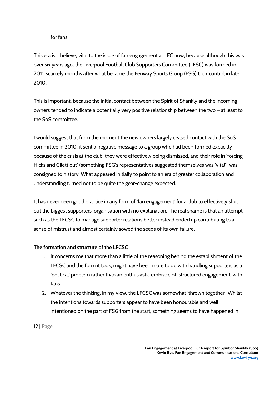#### for fans.

This era is, I believe, vital to the issue of fan engagement at LFC now, because although this was over six years ago, the Liverpool Football Club Supporters Committee (LFSC) was formed in 2011, scarcely months after what became the Fenway Sports Group (FSG) took control in late 2010.

This is important, because the initial contact between the Spirit of Shankly and the incoming owners tended to indicate a potentially very positive relationship between the two – at least to the SoS committee.

I would suggest that from the moment the new owners largely ceased contact with the SoS committee in 2010, it sent a negative message to a group who had been formed explicitly because of the crisis at the club: they were effectively being dismissed, and their role in 'forcing Hicks and Gilett out' (something FSG's representatives suggested themselves was 'vital') was consigned to history. What appeared initially to point to an era of greater collaboration and understanding turned not to be quite the gear-change expected.

It has never been good practice in any form of 'fan engagement' for a club to effectively shut out the biggest supporters' organisation with no explanation. The real shame is that an attempt such as the LFCSC to manage supporter relations better instead ended up contributing to a sense of mistrust and almost certainly sowed the seeds of its own failure.

#### **The formation and structure of the LFCSC**

- 1. It concerns me that more than a little of the reasoning behind the establishment of the LFCSC and the form it took, might have been more to do with handling supporters as a 'political' problem rather than an enthusiastic embrace of 'structured engagement' with fans.
- 2. Whatever the thinking, in my view, the LFCSC was somewhat 'thrown together'. Whilst the intentions towards supporters appear to have been honourable and well intentioned on the part of FSG from the start, something seems to have happened in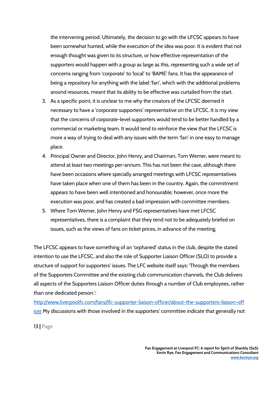the intervening period. Ultimately, the decision to go with the LFCSC appears to have been somewhat hurried, while the execution of the idea was poor. It is evident that not enough thought was given to its structure, or how effective representation of the supporters would happen with a group as large as this, representing such a wide set of concerns ranging from 'corporate' to 'local' to 'BAME' fans. It has the appearance of being a repository for anything with the label 'fan', which with the additional problems around resources, meant that its ability to be effective was curtailed from the start.

- 3. As a specific point, it is unclear to me why the creators of the LFCSC deemed it necessary to have a 'corporate supporters' representative on the LFCSC. It is my view that the concerns of corporate-level supporters would tend to be better handled by a commercial or marketing team. It would tend to reinforce the view that the LFCSC is more a way of trying to deal with any issues with the term 'fan' in one easy to manage place.
- 4. Principal Owner and Director, John Henry, and Chairman, Tom Werner, were meant to attend at least two meetings per-annum. This has not been the case, although there have been occasions where specially arranged meetings with LFCSC representatives have taken place when one of them has been in the country. Again, the commitment appears to have been well intentioned and honourable; however, once more the execution was poor, and has created a bad impression with committee members.
- 5. Where Tom Werner, John Henry and FSG representatives have met LFCSC representatives, there is a complaint that they tend not to be adequately briefed on issues, such as the views of fans on ticket prices, in advance of the meeting.

The LFCSC appears to have something of an 'orphaned' status in the club, despite the stated intention to use the LFCSC, and also the role of Supporter Liaison Officer (SLO) to provide a structure of support for supporters' issues. The LFC website itself says: 'Through the members of the Supporters Committee and the existing club communication channels, the Club delivers all aspects of the Supporters Liaison Officer duties through a number of Club employees, rather than one dedicated person.':

[http://www.liverpoolfc.com/fans/lfc-supporter-liaison-officer/about-the-supporters-liaison-off](http://www.liverpoolfc.com/fans/lfc-supporter-liaison-officer/about-the-supporters-liaison-officer) [icer](http://www.liverpoolfc.com/fans/lfc-supporter-liaison-officer/about-the-supporters-liaison-officer) My discussions with those involved in the supporters' committee indicate that generally not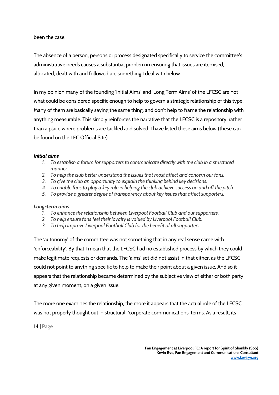been the case.

The absence of a person, persons or process designated specifically to service the committee's administrative needs causes a substantial problem in ensuring that issues are itemised, allocated, dealt with and followed up, something I deal with below.

In my opinion many of the founding 'Initial Aims' and 'Long Term Aims' of the LFCSC are not what could be considered specific enough to help to govern a strategic relationship of this type. Many of them are basically saying the same thing, and don't help to frame the relationship with anything measurable. This simply reinforces the narrative that the LFCSC is a repository, rather than a place where problems are tackled and solved. I have listed these aims below (these can be found on the LFC Official Site).

#### *Initial aims*

- *1. To establish a forum for supporters to communicate directly with the club in a structured manner.*
- *2. To help the club better understand the issues that most affect and concern our fans.*
- *3. To give the club an opportunity to explain the thinking behind key decisions.*
- *4. To enable fans to play a key role in helping the club achieve success on and off the pitch.*
- *5. To provide a greater degree of transparency about key issues that affect supporters.*

#### *Long-term aims*

- *1. To enhance the relationship between Liverpool Football Club and our supporters.*
- *2. To help ensure fans feel their loyalty is valued by Liverpool Football Club.*
- *3. To help improve Liverpool Football Club for the benefit of all supporters.*

The 'autonomy' of the committee was not something that in any real sense came with 'enforceability'. By that I mean that the LFCSC had no established process by which they could make legitimate requests or demands. The 'aims' set did not assist in that either, as the LFCSC could not point to anything specific to help to make their point about a given issue. And so it appears that the relationship became determined by the subjective view of either or both party at any given moment, on a given issue.

The more one examines the relationship, the more it appears that the actual role of the LFCSC was not properly thought out in structural, 'corporate communications' terms. As a result, its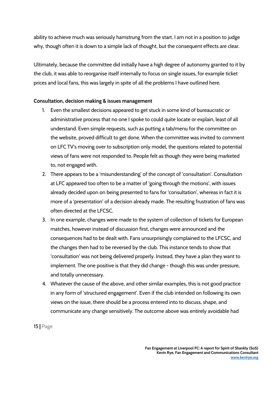ability to achieve much was seriously hamstrung from the start. I am not in a position to judge why, though often it is down to a simple lack of thought, but the consequent effects are clear.

Ultimately, because the committee did initially have a high degree of autonomy granted to it by the club, it was able to reorganise itself internally to focus on single issues, for example ticket prices and local fans, this was largely in spite of all the problems I have outlined here.

#### **Consultation, decision making & issues management**

- 1. Even the smallest decisions appeared to get stuck in some kind of bureaucratic or administrative process that no one I spoke to could quite locate or explain, least of all understand. Even simple requests, such as putting a tab/menu for the committee on the website, proved difficult to get done. When the committee was invited to comment on LFC TV's moving over to subscription only model, the questions related to potential views of fans were not responded to. People felt as though they were being marketed to, not engaged with.
- 2. There appears to be a 'misunderstanding' of the concept of 'consultation'. Consultation at LFC appeared too often to be a matter of 'going through the motions', with issues already decided upon on being presented to fans for 'consultation', whereas in fact it is more of a 'presentation' of a decision already made. The resulting frustration of fans was often directed at the LFCSC.
- 3. In one example, changes were made to the system of collection of tickets for European matches, however instead of discussion first, changes were announced and the consequences had to be dealt with. Fans unsurprisingly complained to the LFCSC, and the changes then had to be reversed by the club. This instance tends to show that 'consultation' was not being delivered properly. Instead, they have a plan they want to implement. The one positive is that they did change - though this was under pressure, and totally unnecessary.
- 4. Whatever the cause of the above, and other similar examples, this is not good practice in any form of 'structured engagement'. Even if the club intended on following its own views on the issue, there should be a process entered into to discuss, shape, and communicate any change sensitively. The outcome above was entirely avoidable had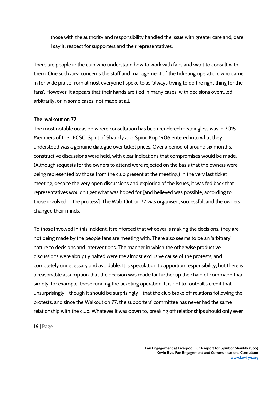those with the authority and responsibility handled the issue with greater care and, dare I say it, respect for supporters and their representatives.

There are people in the club who understand how to work with fans and want to consult with them. One such area concerns the staff and management of the ticketing operation, who came in for wide praise from almost everyone I spoke to as 'always trying to do the right thing for the fans'. However, it appears that their hands are tied in many cases, with decisions overruled arbitrarily, or in some cases, not made at all.

#### **The 'walkout on 77'**

The most notable occasion where consultation has been rendered meaningless was in 2015. Members of the LFCSC, Spirit of Shankly and Spion Kop 1906 entered into what they understood was a genuine dialogue over ticket prices. Over a period of around six months, constructive discussions were held, with clear indications that compromises would be made. (Although requests for the owners to attend were rejected on the basis that the owners were being represented by those from the club present at the meeting.) In the very last ticket meeting, despite the very open discussions and exploring of the issues, it was fed back that representatives wouldn't get what was hoped for [and believed was possible, according to those involved in the process]. The Walk Out on 77 was organised, successful, and the owners changed their minds.

To those involved in this incident, it reinforced that whoever is making the decisions, they are not being made by the people fans are meeting with. There also seems to be an 'arbitrary' nature to decisions and interventions. The manner in which the otherwise productive discussions were abruptly halted were the almost exclusive cause of the protests, and completely unnecessary and avoidable. It is speculation to apportion responsibility, but there is a reasonable assumption that the decision was made far further up the chain of command than simply, for example, those running the ticketing operation. It is not to football's credit that unsurprisingly - though it should be surprisingly - that the club broke off relations following the protests, and since the Walkout on 77, the supporters' committee has never had the same relationship with the club. Whatever it was down to, breaking off relationships should only ever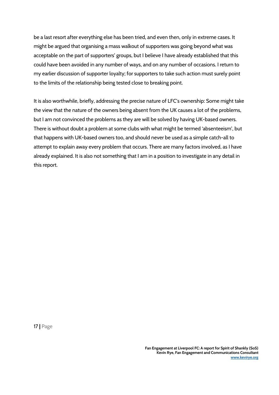be a last resort after everything else has been tried, and even then, only in extreme cases. It might be argued that organising a mass walkout of supporters was going beyond what was acceptable on the part of supporters' groups, but I believe I have already established that this could have been avoided in any number of ways, and on any number of occasions. I return to my earlier discussion of supporter loyalty; for supporters to take such action must surely point to the limits of the relationship being tested close to breaking point.

It is also worthwhile, briefly, addressing the precise nature of LFC's ownership: Some might take the view that the nature of the owners being absent from the UK causes a lot of the problems, but I am not convinced the problems as they are will be solved by having UK-based owners. There is without doubt a problem at some clubs with what might be termed 'absenteeism', but that happens with UK-based owners too, and should never be used as a simple catch-all to attempt to explain away every problem that occurs. There are many factors involved, as I have already explained. It is also not something that I am in a position to investigate in any detail in this report.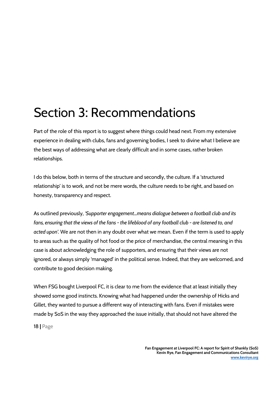### Section 3: Recommendations

Part of the role of this report is to suggest where things could head next. From my extensive experience in dealing with clubs, fans and governing bodies, I seek to divine what I believe are the best ways of addressing what are clearly difficult and in some cases, rather broken relationships.

I do this below, both in terms of the structure and secondly, the culture. If a 'structured relationship' is to work, and not be mere words, the culture needs to be right, and based on honesty, transparency and respect.

As outlined previously, *'Supporter engagement...means dialogue between a football club and its fans, ensuring that the views of the fans - the lifeblood of any football club - are listened to, and acted upon'.* We are not then in any doubt over what we mean. Even if the term is used to apply to areas such as the quality of hot food or the price of merchandise, the central meaning in this case is about acknowledging the role of supporters, and ensuring that their views are not ignored, or always simply 'managed' in the political sense. Indeed, that they are welcomed, and contribute to good decision making.

When FSG bought Liverpool FC, it is clear to me from the evidence that at least initially they showed some good instincts. Knowing what had happened under the ownership of Hicks and Gillet, they wanted to pursue a different way of interacting with fans. Even if mistakes were made by SoS in the way they approached the issue initially, that should not have altered the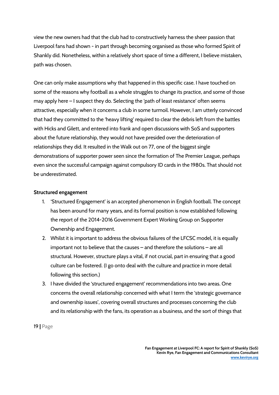view the new owners had that the club had to constructively harness the sheer passion that Liverpool fans had shown - in part through becoming organised as those who formed Spirit of Shankly did. Nonetheless, within a relatively short space of time a different, I believe mistaken, path was chosen.

One can only make assumptions why that happened in this specific case. I have touched on some of the reasons why football as a whole struggles to change its practice, and some of those may apply here – I suspect they do. Selecting the 'path of least resistance' often seems attractive, especially when it concerns a club in some turmoil. However, I am utterly convinced that had they committed to the 'heavy lifting' required to clear the debris left from the battles with Hicks and Gilett, and entered into frank and open discussions with SoS and supporters about the future relationship, they would not have presided over the deterioration of relationships they did. It resulted in the Walk out on 77, one of the biggest single demonstrations of supporter power seen since the formation of The Premier League, perhaps even since the successful campaign against compulsory ID cards in the 1980s. That should not be underestimated.

#### **Structured engagement**

- 1. 'Structured Engagement' is an accepted phenomenon in English football. The concept has been around for many years, and its formal position is now established following the report of the 2014-2016 Government Expert Working Group on Supporter Ownership and Engagement.
- 2. Whilst it is important to address the obvious failures of the LFCSC model, it is equally important not to believe that the causes – and therefore the solutions – are all structural. However, structure plays a vital, if not crucial, part in ensuring that a good culture can be fostered. (I go onto deal with the culture and practice in more detail following this section.)
- 3. I have divided the 'structured engagement' recommendations into two areas. One concerns the overall relationship concerned with what I term the 'strategic governance and ownership issues', covering overall structures and processes concerning the club and its relationship with the fans, its operation as a business, and the sort of things that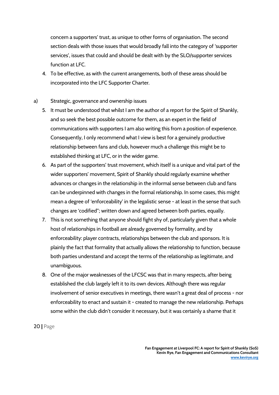concern a supporters' trust, as unique to other forms of organisation. The second section deals with those issues that would broadly fall into the category of 'supporter services', issues that could and should be dealt with by the SLO/supporter services function at LFC.

4. To be effective, as with the current arrangements, both of these areas should be incorporated into the LFC Supporter Charter.

#### a) Strategic, governance and ownership issues

- 5. It must be understood that whilst I am the author of a report for the Spirit of Shankly, and so seek the best possible outcome for them, as an expert in the field of communications with supporters I am also writing this from a position of experience. Consequently, I only recommend what I view is best for a genuinely productive relationship between fans and club, however much a challenge this might be to established thinking at LFC, or in the wider game.
- 6. As part of the supporters' trust movement, which itself is a unique and vital part of the wider supporters' movement, Spirit of Shankly should regularly examine whether advances or changes in the relationship in the informal sense between club and fans can be underpinned with changes in the formal relationship. In some cases, this might mean a degree of 'enforceability' in the legalistic sense - at least in the sense that such changes are 'codified''; written down and agreed between both parties, equally.
- 7. This is not something that anyone should fight shy of, particularly given that a whole host of relationships in football are already governed by formality, and by enforceability: player contracts, relationships between the club and sponsors. It is plainly the fact that formality that actually allows the relationship to function, because both parties understand and accept the terms of the relationship as legitimate, and unambiguous.
- 8. One of the major weaknesses of the LFCSC was that in many respects, after being established the club largely left it to its own devices. Although there was regular involvement of senior executives in meetings, there wasn't a great deal of process - nor enforceability to enact and sustain it - created to manage the new relationship. Perhaps some within the club didn't consider it necessary, but it was certainly a shame that it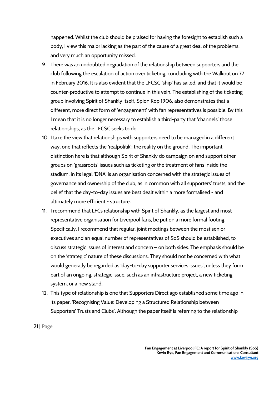happened. Whilst the club should be praised for having the foresight to establish such a body, I view this major lacking as the part of the cause of a great deal of the problems, and very much an opportunity missed.

- 9. There was an undoubted degradation of the relationship between supporters and the club following the escalation of action over ticketing, concluding with the Walkout on 77 in February 2016. It is also evident that the LFCSC 'ship' has sailed, and that it would be counter-productive to attempt to continue in this vein. The establishing of the ticketing group involving Spirit of Shankly itself, Spion Kop 1906, also demonstrates that a different, more direct form of 'engagement' with fan representatives is possible. By this I mean that it is no longer necessary to establish a third-party that 'channels' those relationships, as the LFCSC seeks to do.
- 10. I take the view that relationships with supporters need to be managed in a different way, one that reflects the 'realpolitik': the reality on the ground. The important distinction here is that although Spirit of Shankly do campaign on and support other groups on 'grassroots' issues such as ticketing or the treatment of fans inside the stadium, in its legal 'DNA' is an organisation concerned with the strategic issues of governance and ownership of the club, as in common with all supporters' trusts, and the belief that the day-to-day issues are best dealt within a more formalised - and ultimately more efficient - structure.
- 11. I recommend that LFCs relationship with Spirit of Shankly, as the largest and most representative organisation for Liverpool fans, be put on a more formal footing. Specifically, I recommend that regular, joint meetings between the most senior executives and an equal number of representatives of SoS should be established, to discuss strategic issues of interest and concern – on both sides. The emphasis should be on the 'strategic' nature of these discussions. They should not be concerned with what would generally be regarded as 'day-to-day supporter services issues', unless they form part of an ongoing, strategic issue, such as an infrastructure project, a new ticketing system, or a new stand.
- 12. This type of relationship is one that Supporters Direct ago established some time ago in its paper, 'Recognising Value: Developing a Structured Relationship between Supporters' Trusts and Clubs'. Although the paper itself is referring to the relationship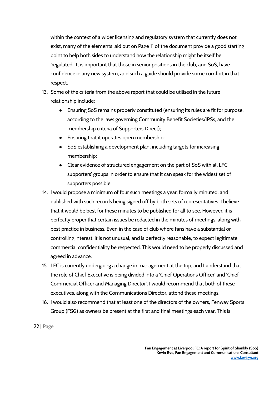within the context of a wider licensing and regulatory system that currently does not exist, many of the elements laid out on Page 11 of the document provide a good starting point to help both sides to understand how the relationship might be itself be 'regulated'. It is important that those in senior positions in the club, and SoS, have confidence in any new system, and such a guide should provide some comfort in that respect.

- 13. Some of the criteria from the above report that could be utilised in the future relationship include:
	- Ensuring SoS remains properly constituted (ensuring its rules are fit for purpose, according to the laws governing Community Benefit Societies/IPSs, and the membership criteria of Supporters Direct);
	- Ensuring that it operates open membership;
	- SoS establishing a development plan, including targets for increasing membership;
	- Clear evidence of structured engagement on the part of SoS with all LFC supporters' groups in order to ensure that it can speak for the widest set of supporters possible
- 14. I would propose a minimum of four such meetings a year, formally minuted, and published with such records being signed off by both sets of representatives. I believe that it would be best for these minutes to be published for all to see. However, it is perfectly proper that certain issues be redacted in the minutes of meetings, along with best practice in business. Even in the case of club where fans have a substantial or controlling interest, it is not unusual, and is perfectly reasonable, to expect legitimate commercial confidentiality be respected. This would need to be properly discussed and agreed in advance.
- 15. LFC is currently undergoing a change in management at the top, and I understand that the role of Chief Executive is being divided into a 'Chief Operations Officer' and 'Chief Commercial Officer and Managing Director'. I would recommend that both of these executives, along with the Communications Director, attend these meetings.
- 16. I would also recommend that at least one of the directors of the owners, Fenway Sports Group (FSG) as owners be present at the first and final meetings each year. This is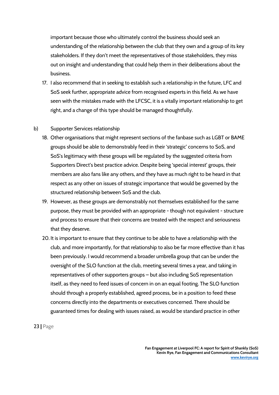important because those who ultimately control the business should seek an understanding of the relationship between the club that they own and a group of its key stakeholders. If they don't meet the representatives of those stakeholders, they miss out on insight and understanding that could help them in their deliberations about the business.

17. I also recommend that in seeking to establish such a relationship in the future, LFC and SoS seek further, appropriate advice from recognised experts in this field. As we have seen with the mistakes made with the LFCSC, it is a vitally important relationship to get right, and a change of this type should be managed thoughtfully.

#### b) Supporter Services relationship

- 18. Other organisations that might represent sections of the fanbase such as LGBT or BAME groups should be able to demonstrably feed in their 'strategic' concerns to SoS, and SoS's legitimacy with these groups will be regulated by the suggested criteria from Supporters Direct's best practice advice. Despite being 'special interest' groups, their members are also fans like any others, and they have as much right to be heard in that respect as any other on issues of strategic importance that would be governed by the structured relationship between SoS and the club.
- 19. However, as these groups are demonstrably not themselves established for the same purpose, they must be provided with an appropriate - though not equivalent - structure and process to ensure that their concerns are treated with the respect and seriousness that they deserve.
- 20. It is important to ensure that they continue to be able to have a relationship with the club, and more importantly, for that relationship to also be far more effective than it has been previously. I would recommend a broader umbrella group that can be under the oversight of the SLO function at the club, meeting several times a year, and taking in representatives of other supporters groups – but also including SoS representation itself, as they need to feed issues of concern in on an equal footing. The SLO function should through a properly established, agreed process, be in a position to feed these concerns directly into the departments or executives concerned. There should be guaranteed times for dealing with issues raised, as would be standard practice in other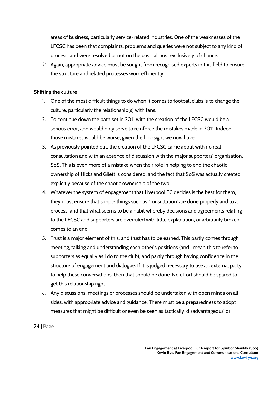areas of business, particularly service-related industries. One of the weaknesses of the LFCSC has been that complaints, problems and queries were not subject to any kind of process, and were resolved or not on the basis almost exclusively of chance.

21. Again, appropriate advice must be sought from recognised experts in this field to ensure the structure and related processes work efficiently.

#### **Shifting the culture**

- 1. One of the most difficult things to do when it comes to football clubs is to change the culture, particularly the relationship(s) with fans.
- 2. To continue down the path set in 2011 with the creation of the LFCSC would be a serious error, and would only serve to reinforce the mistakes made in 2011. Indeed, those mistakes would be worse, given the hindsight we now have.
- 3. As previously pointed out, the creation of the LFCSC came about with no real consultation and with an absence of discussion with the major supporters' organisation, SoS. This is even more of a mistake when their role in helping to end the chaotic ownership of Hicks and Gilett is considered, and the fact that SoS was actually created explicitly because of the chaotic ownership of the two.
- 4. Whatever the system of engagement that Liverpool FC decides is the best for them, they must ensure that simple things such as 'consultation' are done properly and to a process; and that what seems to be a habit whereby decisions and agreements relating to the LFCSC and supporters are overruled with little explanation, or arbitrarily broken, comes to an end.
- 5. Trust is a major element of this, and trust has to be earned. This partly comes through meeting, talking and understanding each other's positions (and I mean this to refer to supporters as equally as I do to the club), and partly through having confidence in the structure of engagement and dialogue. If it is judged necessary to use an external party to help these conversations, then that should be done. No effort should be spared to get this relationship right.
- 6. Any discussions, meetings or processes should be undertaken with open minds on all sides, with appropriate advice and guidance. There must be a preparedness to adopt measures that might be difficult or even be seen as tactically 'disadvantageous' or